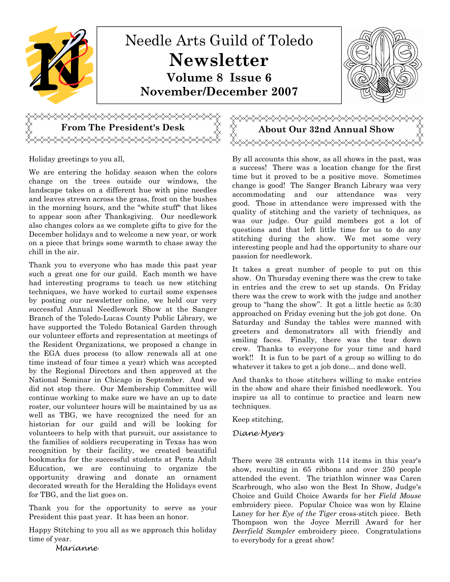

Holiday greetings to you all,

We are entering the holiday season when the colors change on the trees outside our windows, the landscape takes on a different hue with pine needles and leaves strewn across the grass, frost on the bushes in the morning hours, and the "white stuff" that likes to appear soon after Thanksgiving. Our needlework also changes colors as we complete gifts to give for the December holidays and to welcome a new year, or work on a piece that brings some warmth to chase away the chill in the air.

<del></del>

Thank you to everyone who has made this past year such a great one for our guild. Each month we have had interesting programs to teach us new stitching techniques, we have worked to curtail some expenses by posting our newsletter online, we held our very successful Annual Needlework Show at the Sanger Branch of the Toledo-Lucas County Public Library, we have supported the Toledo Botanical Garden through our volunteer efforts and representation at meetings of the Resident Organizations, we proposed a change in the EGA dues process (to allow renewals all at one time instead of four times a year) which was accepted by the Regional Directors and then approved at the National Seminar in Chicago in September. And we did not stop there. Our Membership Committee will continue working to make sure we have an up to date roster, our volunteer hours will be maintained by us as well as TBG, we have recognized the need for an historian for our guild and will be looking for volunteers to help with that pursuit, our assistance to the families of soldiers recuperating in Texas has won recognition by their facility, we created beautiful bookmarks for the successful students at Penta Adult Education, we are continuing to organize the opportunity drawing and donate an ornament decorated wreath for the Heralding the Holidays event for TBG, and the list goes on.

Thank you for the opportunity to serve as your President this past year. It has been an honor.

Happy Stitching to you all as we approach this holiday time of year.

Marianne

From The President's Desk  $\qquad\bigtimes\quad \searrow\quad \searrow$  About Our 32nd Annual Show

By all accounts this show, as all shows in the past, was a success! There was a location change for the first time but it proved to be a positive move. Sometimes change is good! The Sanger Branch Library was very accommodating and our attendance was very good. Those in attendance were impressed with the quality of stitching and the variety of techniques, as was our judge. Our guild members got a lot of questions and that left little time for us to do any stitching during the show. We met some very interesting people and had the opportunity to share our passion for needlework.

It takes a great number of people to put on this show. On Thursday evening there was the crew to take in entries and the crew to set up stands. On Friday there was the crew to work with the judge and another group to "hang the show". It got a little hectic as 5:30 approached on Friday evening but the job got done. On Saturday and Sunday the tables were manned with greeters and demonstrators all with friendly and smiling faces. Finally, there was the tear down crew. Thanks to everyone for your time and hard work!! It is fun to be part of a group so willing to do whatever it takes to get a job done... and done well.

And thanks to those stitchers willing to make entries in the show and share their finished needlework. You inspire us all to continue to practice and learn new techniques.

Keep stitching,

#### Diane Myers

There were 38 entrants with 114 items in this year's show, resulting in 65 ribbons and over 250 people attended the event. The triathlon winner was Caren Scarbrough, who also won the Best In Show, Judge's Choice and Guild Choice Awards for her Field Mouse embroidery piece. Popular Choice was won by Elaine Laney for her Eye of the Tiger cross-stitch piece. Beth Thompson won the Joyce Merrill Award for her Deerfield Sampler embroidery piece. Congratulations to everybody for a great show!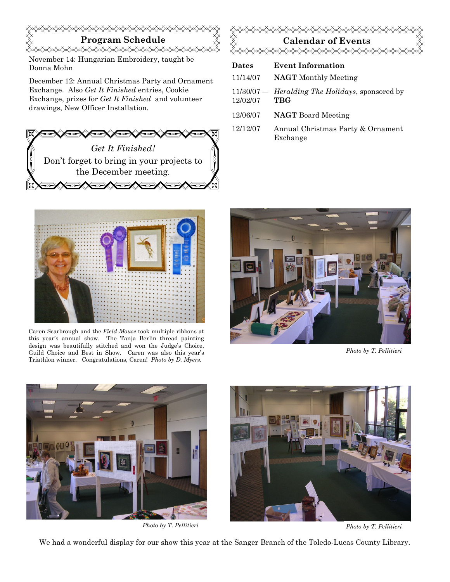# Program Schedule

November 14: Hungarian Embroidery, taught be Donna Mohn

December 12: Annual Christmas Party and Ornament Exchange. Also Get It Finished entries, Cookie Exchange, prizes for Get It Finished and volunteer drawings, New Officer Installation.





| <b>Dates</b> | <b>Event Information</b>                                                |
|--------------|-------------------------------------------------------------------------|
| 11/14/07     | <b>NAGT</b> Monthly Meeting                                             |
| 12/02/07     | $11/30/07$ – <i>Heralding The Holidays</i> , sponsored by<br><b>TBG</b> |
| 12/06/07     | <b>NAGT</b> Board Meeting                                               |
| 12/12/07     | Annual Christmas Party & Ornament                                       |

Exchange



Caren Scarbrough and the Field Mouse took multiple ribbons at this year's annual show. The Tanja Berlin thread painting design was beautifully stitched and won the Judge's Choice, Guild Choice and Best in Show. Caren was also this year's Triathlon winner. Congratulations, Caren! Photo by D. Myers.



Photo by T. Pellitieri





Photo by T. Pellitieri Photo by T. Pellitieri

We had a wonderful display for our show this year at the Sanger Branch of the Toledo-Lucas County Library.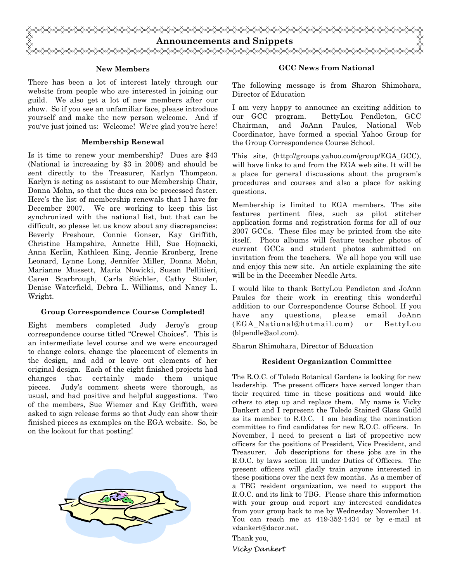

#### New Members

There has been a lot of interest lately through our website from people who are interested in joining our guild. We also get a lot of new members after our show. So if you see an unfamiliar face, please introduce yourself and make the new person welcome. And if you've just joined us: Welcome! We're glad you're here!

#### Membership Renewal

Is it time to renew your membership? Dues are \$43 (National is increasing by \$3 in 2008) and should be sent directly to the Treasurer, Karlyn Thompson. Karlyn is acting as assistant to our Membership Chair, Donna Mohn, so that the dues can be processed faster. Here's the list of membership renewals that I have for December 2007. We are working to keep this list synchronized with the national list, but that can be difficult, so please let us know about any discrepancies: Beverly Freshour, Connie Gonser, Kay Griffith, Christine Hampshire, Annette Hill, Sue Hojnacki, Anna Kerlin, Kathleen King, Jennie Kronberg, Irene Leonard, Lynne Long, Jennifer Miller, Donna Mohn, Marianne Mussett, Maria Nowicki, Susan Pellitieri, Caren Scarbrough, Carla Stichler, Cathy Studer, Denise Waterfield, Debra L. Williams, and Nancy L. Wright.

#### Group Correspondence Course Completed!

Eight members completed Judy Jeroy's group correspondence course titled "Crewel Choices". This is an intermediate level course and we were encouraged to change colors, change the placement of elements in the design, and add or leave out elements of her original design. Each of the eight finished projects had changes that certainly made them unique pieces. Judy's comment sheets were thorough, as usual, and had positive and helpful suggestions. Two of the members, Sue Wiemer and Kay Griffith, were asked to sign release forms so that Judy can show their finished pieces as examples on the EGA website. So, be on the lookout for that posting!



#### GCC News from National

The following message is from Sharon Shimohara, Director of Education

I am very happy to announce an exciting addition to our GCC program. BettyLou Pendleton, GCC Chairman, and JoAnn Paules, National Web Coordinator, have formed a special Yahoo Group for the Group Correspondence Course School.

This site, (http://groups.yahoo.com/group/EGA\_GCC), will have links to and from the EGA web site. It will be a place for general discussions about the program's procedures and courses and also a place for asking questions.

Membership is limited to EGA members. The site features pertinent files, such as pilot stitcher application forms and registration forms for all of our 2007 GCCs. These files may be printed from the site itself. Photo albums will feature teacher photos of current GCCs and student photos submitted on invitation from the teachers. We all hope you will use and enjoy this new site. An article explaining the site will be in the December Needle Arts.

I would like to thank BettyLou Pendleton and JoAnn Paules for their work in creating this wonderful addition to our Correspondence Course School. If you have any questions, please email JoAnn (EGA\_National@hotmail.com) or BettyLou (blpendle@aol.com).

Sharon Shimohara, Director of Education

#### Resident Organization Committee

The R.O.C. of Toledo Botanical Gardens is looking for new leadership. The present officers have served longer than their required time in these positions and would like others to step up and replace them. My name is Vicky Dankert and I represent the Toledo Stained Glass Guild as its member to R.O.C. I am heading the nomination committee to find candidates for new R.O.C. officers. In November, I need to present a list of propective new officers for the positions of President, Vice President, and Treasurer. Job descriptions for these jobs are in the R.O.C. by laws section III under Duties of Officers. The present officers will gladly train anyone interested in these positions over the next few months. As a member of a TBG resident organization, we need to support the R.O.C. and its link to TBG. Please share this information with your group and report any interested candidates from your group back to me by Wednesday November 14. You can reach me at 419-352-1434 or by e-mail at vdankert@dacor.net.

Thank you,

Vicky Dankert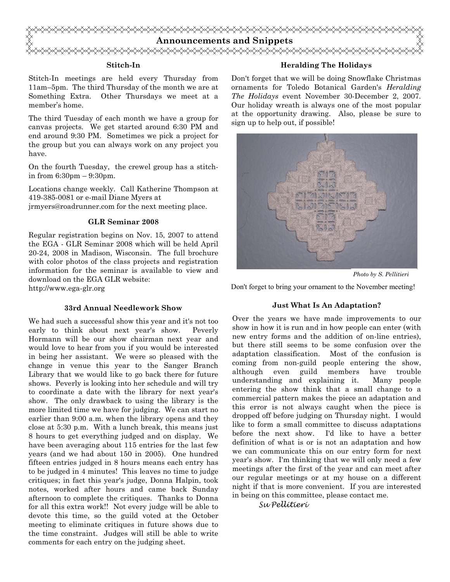

#### Stitch-In

Stitch-In meetings are held every Thursday from 11am–5pm. The third Thursday of the month we are at Something Extra. Other Thursdays we meet at a member's home.

The third Tuesday of each month we have a group for canvas projects. We get started around 6:30 PM and end around 9:30 PM. Sometimes we pick a project for the group but you can always work on any project you have.

On the fourth Tuesday, the crewel group has a stitchin from 6:30pm – 9:30pm.

Locations change weekly. Call Katherine Thompson at 419-385-0081 or e-mail Diane Myers at jrmyers@roadrunner.com for the next meeting place.

#### GLR Seminar 2008

Regular registration begins on Nov. 15, 2007 to attend the EGA - GLR Seminar 2008 which will be held April 20-24, 2008 in Madison, Wisconsin. The full brochure with color photos of the class projects and registration information for the seminar is available to view and download on the EGA GLR website:

http://www.ega-glr.org

#### 33rd Annual Needlework Show

We had such a successful show this year and it's not too early to think about next year's show. Peverly Hormann will be our show chairman next year and would love to hear from you if you would be interested in being her assistant. We were so pleased with the change in venue this year to the Sanger Branch Library that we would like to go back there for future shows. Peverly is looking into her schedule and will try to coordinate a date with the library for next year's show. The only drawback to using the library is the more limited time we have for judging. We can start no earlier than 9:00 a.m. when the library opens and they close at 5:30 p.m. With a lunch break, this means just 8 hours to get everything judged and on display. We have been averaging about 115 entries for the last few years (and we had about 150 in 2005). One hundred fifteen entries judged in 8 hours means each entry has to be judged in 4 minutes! This leaves no time to judge critiques; in fact this year's judge, Donna Halpin, took notes, worked after hours and came back Sunday afternoon to complete the critiques. Thanks to Donna for all this extra work!! Not every judge will be able to devote this time, so the guild voted at the October meeting to eliminate critiques in future shows due to the time constraint. Judges will still be able to write comments for each entry on the judging sheet.

#### Heralding The Holidays

Don't forget that we will be doing Snowflake Christmas ornaments for Toledo Botanical Garden's Heralding The Holidays event November 30-December 2, 2007. Our holiday wreath is always one of the most popular at the opportunity drawing. Also, please be sure to sign up to help out, if possible!



Photo by S. Pellitieri

Don't forget to bring your ornament to the November meeting!

#### Just What Is An Adaptation?

Over the years we have made improvements to our show in how it is run and in how people can enter (with new entry forms and the addition of on-line entries), but there still seems to be some confusion over the adaptation classification. Most of the confusion is coming from non-guild people entering the show, although even guild members have trouble understanding and explaining it. Many people entering the show think that a small change to a commercial pattern makes the piece an adaptation and this error is not always caught when the piece is dropped off before judging on Thursday night. I would like to form a small committee to discuss adaptations before the next show. I'd like to have a better definition of what is or is not an adaptation and how we can communicate this on our entry form for next year's show. I'm thinking that we will only need a few meetings after the first of the year and can meet after our regular meetings or at my house on a different night if that is more convenient. If you are interested in being on this committee, please contact me.

Su Pellitieri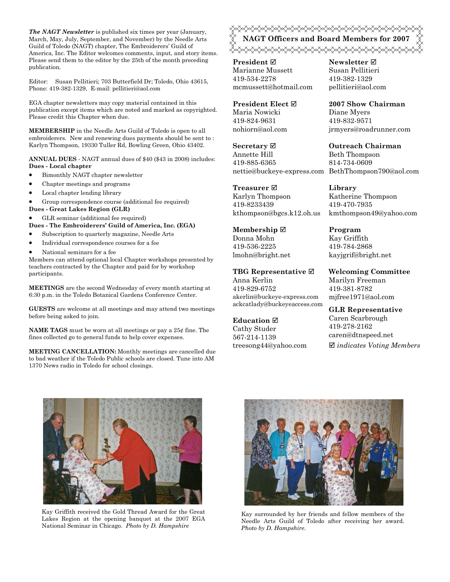The NAGT Newsletter is published six times per year (January, March, May, July, September, and November) by the Needle Arts Guild of Toledo (NAGT) chapter, The Embroiderers' Guild of America, Inc. The Editor welcomes comments, input, and story items. Please send them to the editor by the 25th of the month preceding publication.

Editor: Susan Pellitieri; 703 Butterfield Dr; Toledo, Ohio 43615, Phone: 419-382-1329, E-mail: pellitieri@aol.com

EGA chapter newsletters may copy material contained in this publication except items which are noted and marked as copyrighted. Please credit this Chapter when due.

MEMBERSHIP in the Needle Arts Guild of Toledo is open to all embroiderers. New and renewing dues payments should be sent to : Karlyn Thompson, 19330 Tuller Rd, Bowling Green, Ohio 43402.

ANNUAL DUES - NAGT annual dues of \$40 (\$43 in 2008) includes: Dues - Local chapter

- Bimonthly NAGT chapter newsletter
- Chapter meetings and programs
- Local chapter lending library

• Group correspondence course (additional fee required)

- Dues Great Lakes Region (GLR)
- GLR seminar (additional fee required)

Dues - The Embroiderers' Guild of America, Inc. (EGA)

- Subscription to quarterly magazine, Needle Arts
- Individual correspondence courses for a fee
- National seminars for a fee

Members can attend optional local Chapter workshops presented by teachers contracted by the Chapter and paid for by workshop participants.

MEETINGS are the second Wednesday of every month starting at 6:30 p.m. in the Toledo Botanical Gardens Conference Center.

GUESTS are welcome at all meetings and may attend two meetings before being asked to join.

**NAME TAGS** must be worn at all meetings or pay a  $25¢$  fine. The fines collected go to general funds to help cover expenses.

MEETING CANCELLATION: Monthly meetings are cancelled due to bad weather if the Toledo Public schools are closed. Tune into AM 1370 News radio in Toledo for school closings.

<del></del><sub></sup></sup><del></del><del>◇◇◇◇◇◇◇◇◇◇◇◇◇◇◇◇◇◇◇◇◇◇◇◇◇◇◇◇</del>◇◇◇</sub> NAGT Officers and Board Members for 2007 «XXXXXXXXXXXXXXXXXXXXXXXXXXXXXXXX

**President** ⊠ Marianne Mussett 419-534-2278 mcmussett@hotmail.com

President Elect Maria Nowicki 419-824-9631 nohiorn@aol.com

Secretary **Ø** Annette Hill 419-885-6365 nettie@buckeye-express.com BethThompson790@aol.com

Treasurer **⊠** Karlyn Thompson 419-8233439 kthompson@bgcs.k12.oh.us

Membership ⊠ Donna Mohn 419-536-2225 lmohn@bright.net

TBG Representative  $□$ Anna Kerlin 419-829-6752 akerlin@buckeye-express.com ackcatlady@buckeyeaccess.com

#### **Education** ⊠

Cathy Studer 567-214-1139 treesong44@yahoo.com Newsletter **Ø** Susan Pellitieri 419-382-1329 pellitieri@aol.com

2007 Show Chairman

Diane Myers 419-832-9571 jrmyers@roadrunner.com

Outreach Chairman Beth Thompson 814-734-0609

Library Katherine Thompson 419-470-7935 kmthompson49@yahoo.com

Program Kay Griffith 419-784-2868 kayjgrif@bright.net

Welcoming Committee Marilyn Freeman 419-381-8782 mjfree1971@aol.com

GLR Representative Caren Scarbrough 419-278-2162 caren@dtnspeed.net  $\boxtimes$  indicates Voting Members



Kay Griffith received the Gold Thread Award for the Great Lakes Region at the opening banquet at the 2007 EGA National Seminar in Chicago. Photo by D. Hampshire



Kay surrounded by her friends and fellow members of the Needle Arts Guild of Toledo after receiving her award. Photo by D. Hampshire.